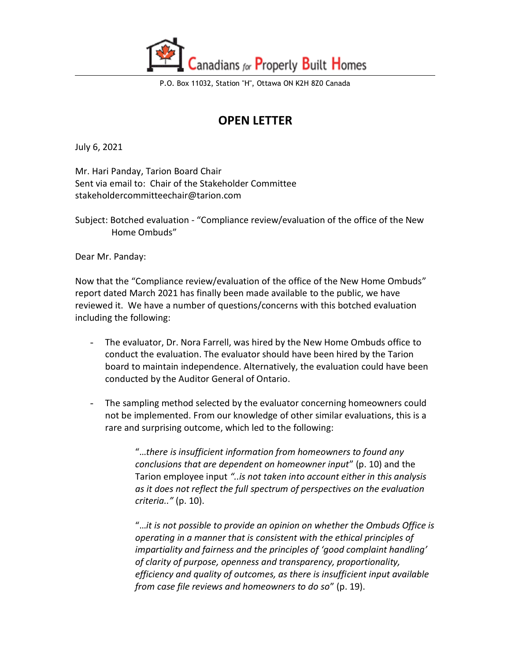

P.O. Box 11032, Station "H", Ottawa ON K2H 8Z0 Canada

## **OPEN LETTER**

July 6, 2021

Mr. Hari Panday, Tarion Board Chair Sent via email to: Chair of the Stakeholder Committee stakeholdercommitteechair@tarion.com

Subject: Botched evaluation - "Compliance review/evaluation of the office of the New Home Ombuds"

Dear Mr. Panday:

Now that the "Compliance review/evaluation of the office of the New Home Ombuds" report dated March 2021 has finally been made available to the public, we have reviewed it. We have a number of questions/concerns with this botched evaluation including the following:

- The evaluator, Dr. Nora Farrell, was hired by the New Home Ombuds office to conduct the evaluation. The evaluator should have been hired by the Tarion board to maintain independence. Alternatively, the evaluation could have been conducted by the Auditor General of Ontario.
- The sampling method selected by the evaluator concerning homeowners could not be implemented. From our knowledge of other similar evaluations, this is a rare and surprising outcome, which led to the following:

"…*there is insufficient information from homeowners to found any conclusions that are dependent on homeowner input*" (p. 10) and the Tarion employee input *"..is not taken into account either in this analysis as it does not reflect the full spectrum of perspectives on the evaluation criteria.."* (p. 10).

"…*it is not possible to provide an opinion on whether the Ombuds Office is operating in a manner that is consistent with the ethical principles of impartiality and fairness and the principles of 'good complaint handling' of clarity of purpose, openness and transparency, proportionality, efficiency and quality of outcomes, as there is insufficient input available from case file reviews and homeowners to do so*" (p. 19).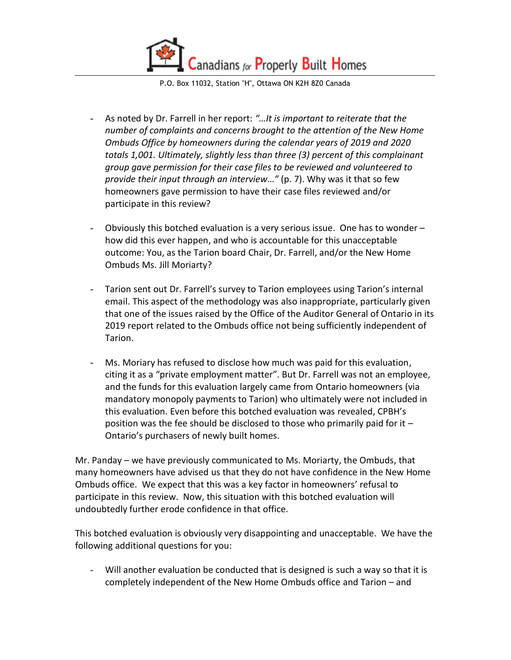anadians for Properly Built Homes

P.O. Box 11032, Station "H", Ottawa ON K2H 8Z0 Canada

- As noted by Dr. Farrell in her report: *"…It is important to reiterate that the number of complaints and concerns brought to the attention of the New Home Ombuds Office by homeowners during the calendar years of 2019 and 2020 totals 1,001. Ultimately, slightly less than three (3) percent of this complainant group gave permission for their case files to be reviewed and volunteered to provide their input through an interview…"* (p. 7). Why was it that so few homeowners gave permission to have their case files reviewed and/or participate in this review?
- Obviously this botched evaluation is a very serious issue. One has to wonder how did this ever happen, and who is accountable for this unacceptable outcome: You, as the Tarion board Chair, Dr. Farrell, and/or the New Home Ombuds Ms. Jill Moriarty?
- Tarion sent out Dr. Farrell's survey to Tarion employees using Tarion's internal email. This aspect of the methodology was also inappropriate, particularly given that one of the issues raised by the Office of the Auditor General of Ontario in its 2019 report related to the Ombuds office not being sufficiently independent of Tarion.
- Ms. Moriary has refused to disclose how much was paid for this evaluation, citing it as a "private employment matter". But Dr. Farrell was not an employee, and the funds for this evaluation largely came from Ontario homeowners (via mandatory monopoly payments to Tarion) who ultimately were not included in this evaluation. Even before this botched evaluation was revealed, CPBH's position was the fee should be disclosed to those who primarily paid for it – Ontario's purchasers of newly built homes.

Mr. Panday – we have previously communicated to Ms. Moriarty, the Ombuds, that many homeowners have advised us that they do not have confidence in the New Home Ombuds office. We expect that this was a key factor in homeowners' refusal to participate in this review. Now, this situation with this botched evaluation will undoubtedly further erode confidence in that office.

This botched evaluation is obviously very disappointing and unacceptable. We have the following additional questions for you:

- Will another evaluation be conducted that is designed is such a way so that it is completely independent of the New Home Ombuds office and Tarion – and